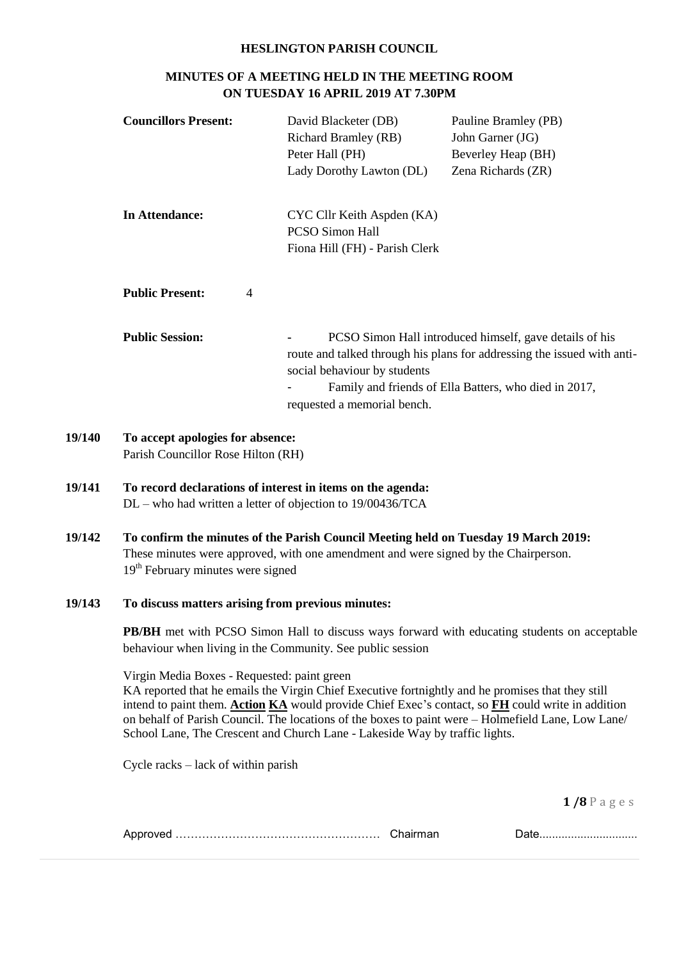#### **HESLINGTON PARISH COUNCIL**

## **MINUTES OF A MEETING HELD IN THE MEETING ROOM ON TUESDAY 16 APRIL 2019 AT 7.30PM**

| <b>Councillors Present:</b>              | David Blacketer (DB)<br><b>Richard Bramley (RB)</b><br>Peter Hall (PH)<br>Lady Dorothy Lawton (DL) | Pauline Bramley (PB)<br>John Garner (JG)<br>Beverley Heap (BH)<br>Zena Richards (ZR)                                                                                                        |  |
|------------------------------------------|----------------------------------------------------------------------------------------------------|---------------------------------------------------------------------------------------------------------------------------------------------------------------------------------------------|--|
| In Attendance:                           | CYC Cllr Keith Aspden (KA)<br><b>PCSO Simon Hall</b><br>Fiona Hill (FH) - Parish Clerk             |                                                                                                                                                                                             |  |
| <b>Public Present:</b><br>$\overline{4}$ |                                                                                                    |                                                                                                                                                                                             |  |
| <b>Public Session:</b>                   | social behaviour by students<br>requested a memorial bench.                                        | PCSO Simon Hall introduced himself, gave details of his<br>route and talked through his plans for addressing the issued with anti-<br>Family and friends of Ella Batters, who died in 2017, |  |

#### **19/140 To accept apologies for absence:** Parish Councillor Rose Hilton (RH)

## **19/141 To record declarations of interest in items on the agenda:** DL – who had written a letter of objection to 19/00436/TCA

# **19/142 To confirm the minutes of the Parish Council Meeting held on Tuesday 19 March 2019:** These minutes were approved, with one amendment and were signed by the Chairperson. 19<sup>th</sup> February minutes were signed

#### **19/143 To discuss matters arising from previous minutes:**

**PB/BH** met with PCSO Simon Hall to discuss ways forward with educating students on acceptable behaviour when living in the Community. See public session

Virgin Media Boxes - Requested: paint green

KA reported that he emails the Virgin Chief Executive fortnightly and he promises that they still intend to paint them. **Action KA** would provide Chief Exec's contact, so **FH** could write in addition on behalf of Parish Council. The locations of the boxes to paint were – Holmefield Lane, Low Lane/ School Lane, The Crescent and Church Lane - Lakeside Way by traffic lights.

Cycle racks – lack of within parish

| w |  |  |
|---|--|--|
|---|--|--|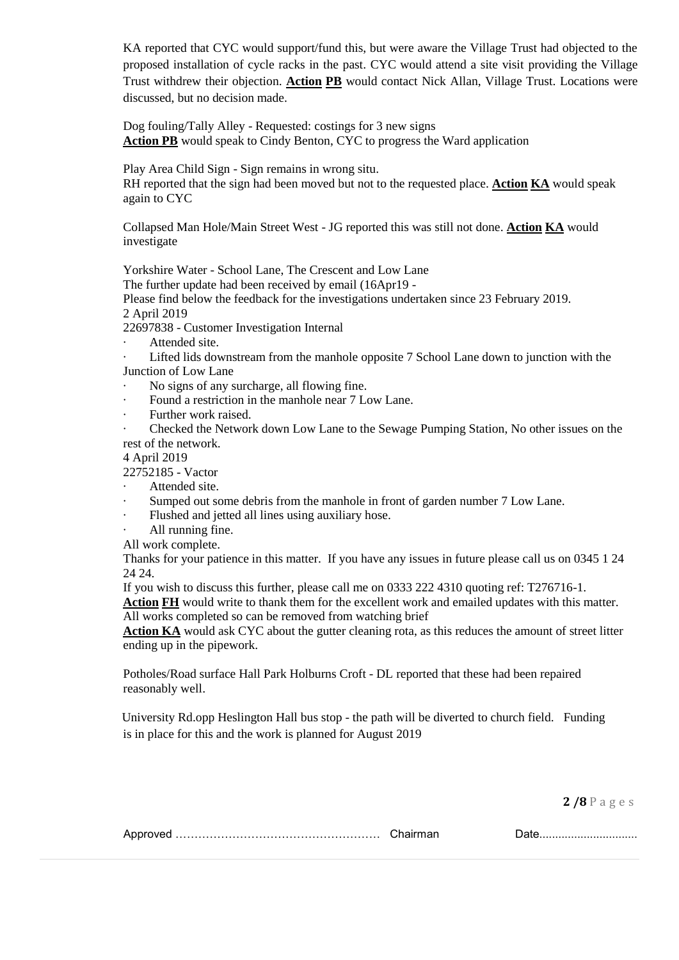KA reported that CYC would support/fund this, but were aware the Village Trust had objected to the proposed installation of cycle racks in the past. CYC would attend a site visit providing the Village Trust withdrew their objection. **Action PB** would contact Nick Allan, Village Trust. Locations were discussed, but no decision made.

Dog fouling/Tally Alley - Requested: costings for 3 new signs **Action PB** would speak to Cindy Benton, CYC to progress the Ward application

Play Area Child Sign - Sign remains in wrong situ.

RH reported that the sign had been moved but not to the requested place. **Action KA** would speak again to CYC

Collapsed Man Hole/Main Street West - JG reported this was still not done. **Action KA** would investigate

Yorkshire Water - School Lane, The Crescent and Low Lane

The further update had been received by email (16Apr19 -

Please find below the feedback for the investigations undertaken since 23 February 2019. 2 April 2019

22697838 - Customer Investigation Internal

Attended site.

Lifted lids downstream from the manhole opposite 7 School Lane down to junction with the Junction of Low Lane

- · No signs of any surcharge, all flowing fine.
- · Found a restriction in the manhole near 7 Low Lane.
- Further work raised.

· Checked the Network down Low Lane to the Sewage Pumping Station, No other issues on the rest of the network.

4 April 2019

22752185 - Vactor

- Attended site.
- Sumped out some debris from the manhole in front of garden number 7 Low Lane.
- Flushed and jetted all lines using auxiliary hose.
- All running fine.

All work complete.

Thanks for your patience in this matter. If you have any issues in future please call us on 0345 1 24 24 24.

If you wish to discuss this further, please call me on 0333 222 4310 quoting ref: T276716-1.

**Action FH** would write to thank them for the excellent work and emailed updates with this matter. All works completed so can be removed from watching brief

Action KA would ask CYC about the gutter cleaning rota, as this reduces the amount of street litter ending up in the pipework.

Potholes/Road surface Hall Park Holburns Croft - DL reported that these had been repaired reasonably well.

University Rd.opp Heslington Hall bus stop - the path will be diverted to church field. Funding is in place for this and the work is planned for August 2019

|--|--|--|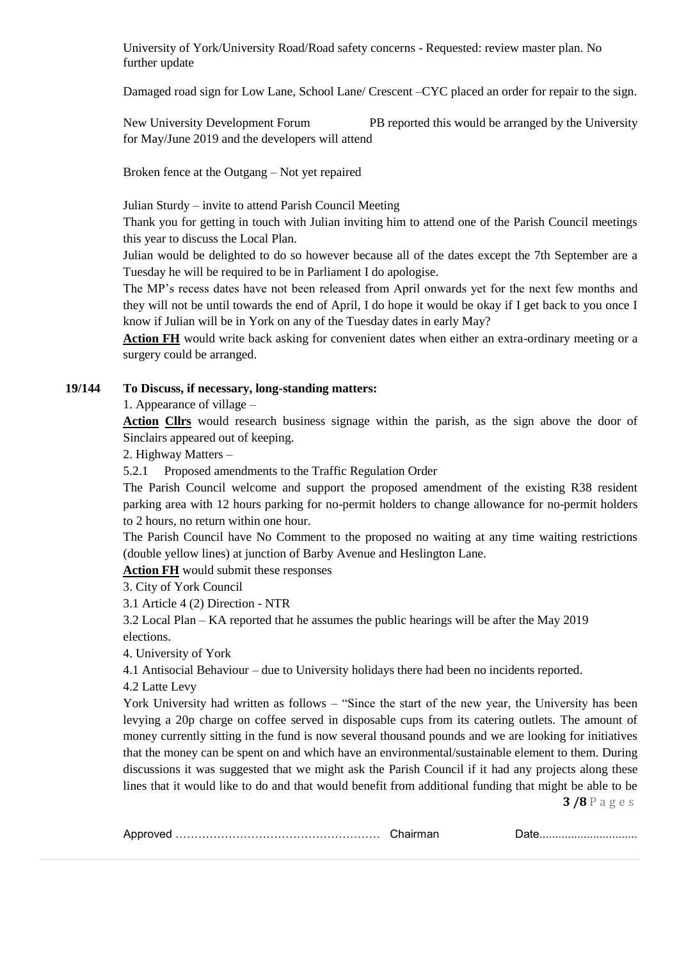University of York/University Road/Road safety concerns - Requested: review master plan. No further update

Damaged road sign for Low Lane, School Lane/ Crescent –CYC placed an order for repair to the sign.

New University Development Forum PB reported this would be arranged by the University for May/June 2019 and the developers will attend

Broken fence at the Outgang – Not yet repaired

Julian Sturdy – invite to attend Parish Council Meeting

Thank you for getting in touch with Julian inviting him to attend one of the Parish Council meetings this year to discuss the Local Plan.

Julian would be delighted to do so however because all of the dates except the 7th September are a Tuesday he will be required to be in Parliament I do apologise.

The MP's recess dates have not been released from April onwards yet for the next few months and they will not be until towards the end of April, I do hope it would be okay if I get back to you once I know if Julian will be in York on any of the Tuesday dates in early May?

Action FH would write back asking for convenient dates when either an extra-ordinary meeting or a surgery could be arranged.

### **19/144 To Discuss, if necessary, long-standing matters:**

1. Appearance of village –

**Action Cllrs** would research business signage within the parish, as the sign above the door of Sinclairs appeared out of keeping.

2. Highway Matters –

5.2.1 Proposed amendments to the Traffic Regulation Order

The Parish Council welcome and support the proposed amendment of the existing R38 resident parking area with 12 hours parking for no-permit holders to change allowance for no-permit holders to 2 hours, no return within one hour.

The Parish Council have No Comment to the proposed no waiting at any time waiting restrictions (double yellow lines) at junction of Barby Avenue and Heslington Lane.

**Action FH** would submit these responses

3. City of York Council

3.1 Article 4 (2) Direction - NTR

3.2 Local Plan – KA reported that he assumes the public hearings will be after the May 2019 elections.

4. University of York

4.1 Antisocial Behaviour – due to University holidays there had been no incidents reported.

4.2 Latte Levy

**3 /8** P a g e s York University had written as follows – "Since the start of the new year, the University has been levying a 20p charge on coffee served in disposable cups from its catering outlets. The amount of money currently sitting in the fund is now several thousand pounds and we are looking for initiatives that the money can be spent on and which have an environmental/sustainable element to them. During discussions it was suggested that we might ask the Parish Council if it had any projects along these lines that it would like to do and that would benefit from additional funding that might be able to be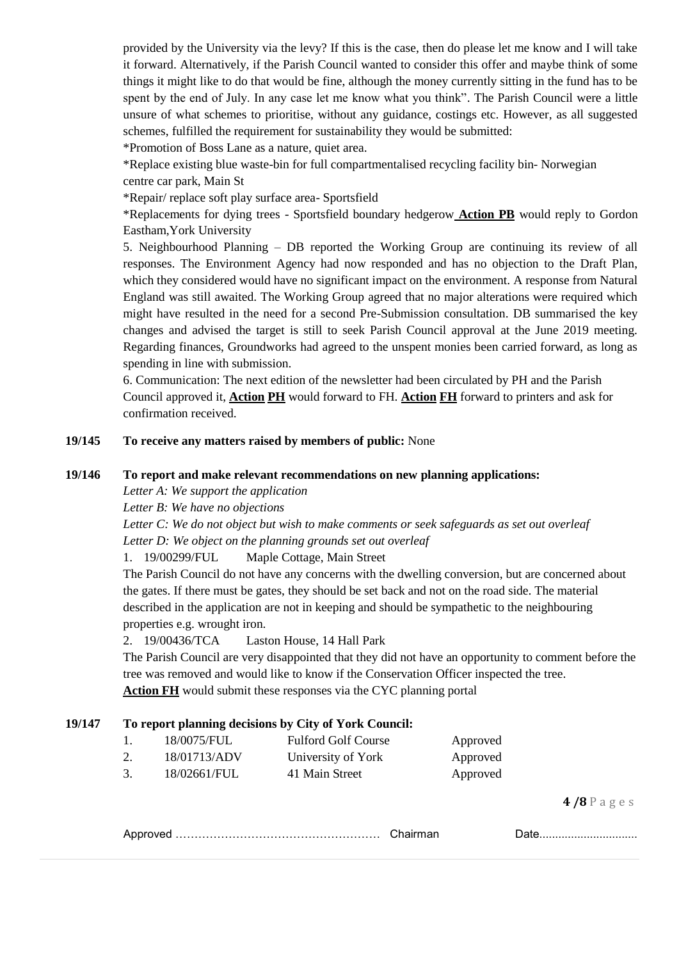provided by the University via the levy? If this is the case, then do please let me know and I will take it forward. Alternatively, if the Parish Council wanted to consider this offer and maybe think of some things it might like to do that would be fine, although the money currently sitting in the fund has to be spent by the end of July. In any case let me know what you think". The Parish Council were a little unsure of what schemes to prioritise, without any guidance, costings etc. However, as all suggested schemes, fulfilled the requirement for sustainability they would be submitted:

\*Promotion of Boss Lane as a nature, quiet area.

\*Replace existing blue waste-bin for full compartmentalised recycling facility bin- Norwegian centre car park, Main St

\*Repair/ replace soft play surface area- Sportsfield

\*Replacements for dying trees - Sportsfield boundary hedgerow **Action PB** would reply to Gordon Eastham,York University

5. Neighbourhood Planning – DB reported the Working Group are continuing its review of all responses. The Environment Agency had now responded and has no objection to the Draft Plan, which they considered would have no significant impact on the environment. A response from Natural England was still awaited. The Working Group agreed that no major alterations were required which might have resulted in the need for a second Pre-Submission consultation. DB summarised the key changes and advised the target is still to seek Parish Council approval at the June 2019 meeting. Regarding finances, Groundworks had agreed to the unspent monies been carried forward, as long as spending in line with submission.

6. Communication: The next edition of the newsletter had been circulated by PH and the Parish Council approved it, **Action PH** would forward to FH. **Action FH** forward to printers and ask for confirmation received.

### **19/145 To receive any matters raised by members of public:** None

#### **19/146 To report and make relevant recommendations on new planning applications:**

*Letter A: We support the application*

*Letter B: We have no objections*

*Letter C: We do not object but wish to make comments or seek safeguards as set out overleaf Letter D: We object on the planning grounds set out overleaf*

1. 19/00299/FUL Maple Cottage, Main Street

The Parish Council do not have any concerns with the dwelling conversion, but are concerned about the gates. If there must be gates, they should be set back and not on the road side. The material described in the application are not in keeping and should be sympathetic to the neighbouring properties e.g. wrought iron.

## 2. 19/00436/TCA Laston House, 14 Hall Park

The Parish Council are very disappointed that they did not have an opportunity to comment before the tree was removed and would like to know if the Conservation Officer inspected the tree.

**Action FH** would submit these responses via the CYC planning portal

### **19/147 To report planning decisions by City of York Council:**

|    | 18/0075/FUL  | <b>Fulford Golf Course</b> | Approved |
|----|--------------|----------------------------|----------|
|    | 18/01713/ADV | University of York         | Approved |
| 3. | 18/02661/FUL | 41 Main Street             | Approved |

|--|--|--|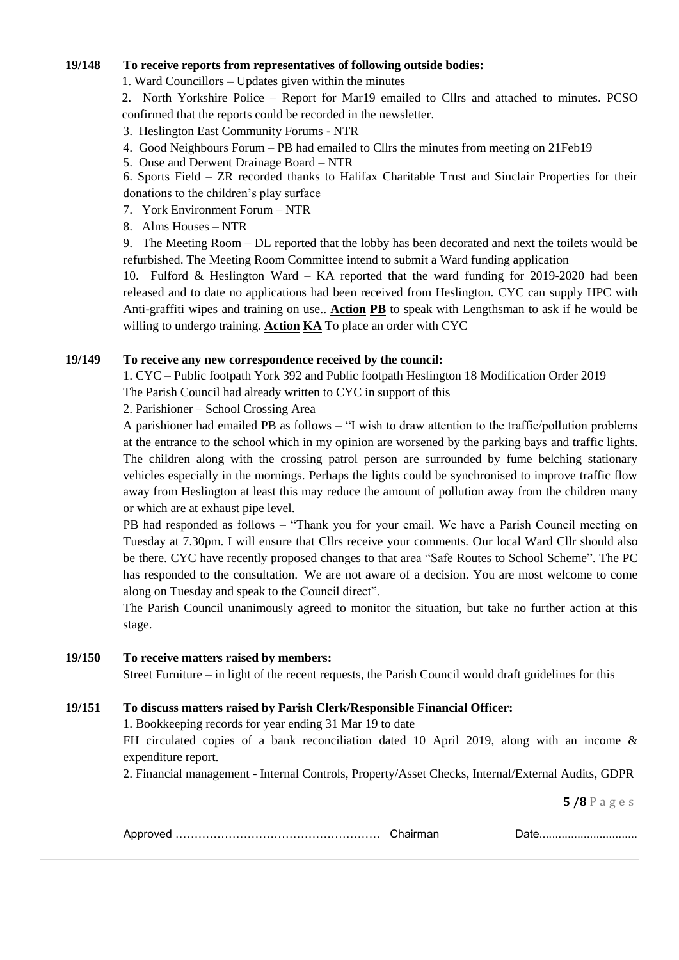### **19/148 To receive reports from representatives of following outside bodies:**

1. Ward Councillors – Updates given within the minutes

2. North Yorkshire Police – Report for Mar19 emailed to Cllrs and attached to minutes. PCSO confirmed that the reports could be recorded in the newsletter.

3. Heslington East Community Forums - NTR

- 4. Good Neighbours Forum PB had emailed to Cllrs the minutes from meeting on 21Feb19
- 5. Ouse and Derwent Drainage Board NTR
- 6. Sports Field ZR recorded thanks to Halifax Charitable Trust and Sinclair Properties for their donations to the children's play surface
- 7. York Environment Forum NTR
- 8. Alms Houses NTR

9. The Meeting Room – DL reported that the lobby has been decorated and next the toilets would be refurbished. The Meeting Room Committee intend to submit a Ward funding application

10. Fulford & Heslington Ward – KA reported that the ward funding for 2019-2020 had been released and to date no applications had been received from Heslington. CYC can supply HPC with Anti-graffiti wipes and training on use.. **Action PB** to speak with Lengthsman to ask if he would be willing to undergo training. **Action KA** To place an order with CYC

### **19/149 To receive any new correspondence received by the council:**

1. CYC – Public footpath York 392 and Public footpath Heslington 18 Modification Order 2019 The Parish Council had already written to CYC in support of this

2. Parishioner – School Crossing Area

A parishioner had emailed PB as follows – "I wish to draw attention to the traffic/pollution problems at the entrance to the school which in my opinion are worsened by the parking bays and traffic lights. The children along with the crossing patrol person are surrounded by fume belching stationary vehicles especially in the mornings. Perhaps the lights could be synchronised to improve traffic flow away from Heslington at least this may reduce the amount of pollution away from the children many or which are at exhaust pipe level.

PB had responded as follows – "Thank you for your email. We have a Parish Council meeting on Tuesday at 7.30pm. I will ensure that Cllrs receive your comments. Our local Ward Cllr should also be there. CYC have recently proposed changes to that area "Safe Routes to School Scheme". The PC has responded to the consultation. We are not aware of a decision. You are most welcome to come along on Tuesday and speak to the Council direct".

The Parish Council unanimously agreed to monitor the situation, but take no further action at this stage.

#### **19/150 To receive matters raised by members:**

Street Furniture – in light of the recent requests, the Parish Council would draft guidelines for this

## **19/151 To discuss matters raised by Parish Clerk/Responsible Financial Officer:**

1. Bookkeeping records for year ending 31 Mar 19 to date

FH circulated copies of a bank reconciliation dated 10 April 2019, along with an income & expenditure report.

2. Financial management - Internal Controls, Property/Asset Checks, Internal/External Audits, GDPR

|--|--|--|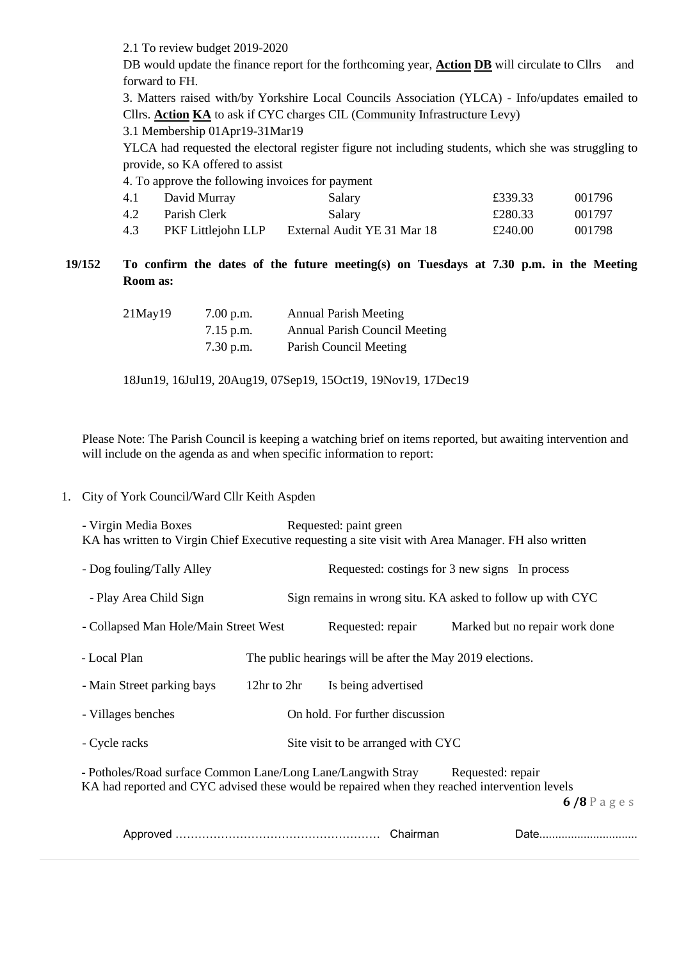2.1 To review budget 2019-2020

DB would update the finance report for the forthcoming year, **Action DB** will circulate to Cllrs and forward to FH.

3. Matters raised with/by Yorkshire Local Councils Association (YLCA) - Info/updates emailed to Cllrs. **Action KA** to ask if CYC charges CIL (Community Infrastructure Levy)

3.1 Membership 01Apr19-31Mar19

YLCA had requested the electoral register figure not including students, which she was struggling to provide, so KA offered to assist

| 4. To approve the following invoices for payment |  |
|--------------------------------------------------|--|
|--------------------------------------------------|--|

| 4.1 | David Murray       | Salary                      | £339.33 | 001796 |
|-----|--------------------|-----------------------------|---------|--------|
| 4.2 | Parish Clerk       | Salary                      | £280.33 | 001797 |
| 4.3 | PKF Littlejohn LLP | External Audit YE 31 Mar 18 | £240.00 | 001798 |

## **19/152 To confirm the dates of the future meeting(s) on Tuesdays at 7.30 p.m. in the Meeting Room as:**

| 21May19 | 7.00 p.m.   | <b>Annual Parish Meeting</b>         |
|---------|-------------|--------------------------------------|
|         | $7.15$ p.m. | <b>Annual Parish Council Meeting</b> |
|         | $7.30$ p.m. | Parish Council Meeting               |

18Jun19, 16Jul19, 20Aug19, 07Sep19, 15Oct19, 19Nov19, 17Dec19

Please Note: The Parish Council is keeping a watching brief on items reported, but awaiting intervention and will include on the agenda as and when specific information to report:

1. City of York Council/Ward Cllr Keith Aspden

- Virgin Media Boxes Requested: paint green KA has written to Virgin Chief Executive requesting a site visit with Area Manager. FH also written

**6 /8** P a g e s - Dog fouling/Tally Alley Requested: costings for 3 new signs In process - Play Area Child Sign Sign remains in wrong situ. KA asked to follow up with CYC - Collapsed Man Hole/Main Street West Requested: repair Marked but no repair work done - Local Plan The public hearings will be after the May 2019 elections. - Main Street parking bays 12hr to 2hr Is being advertised - Villages benches On hold. For further discussion - Cycle racks Site visit to be arranged with CYC - Potholes/Road surface Common Lane/Long Lane/Langwith Stray Requested: repair KA had reported and CYC advised these would be repaired when they reached intervention levels

|--|--|--|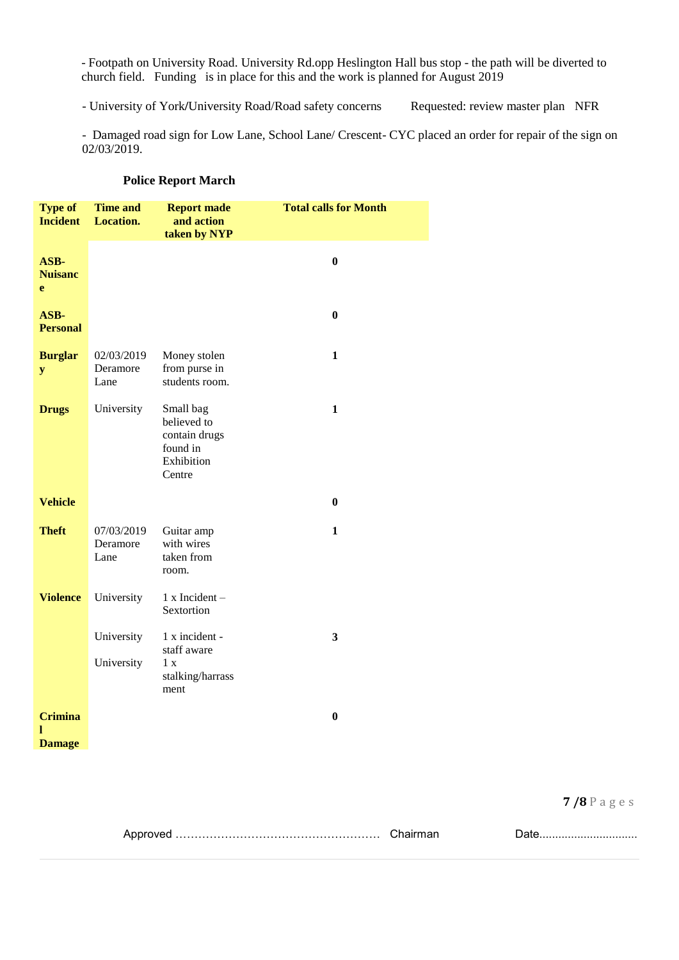- Footpath on University Road. University Rd.opp Heslington Hall bus stop - the path will be diverted to church field. Funding is in place for this and the work is planned for August 2019

- University of York/University Road/Road safety concerns Requested: review master plan NFR

- Damaged road sign for Low Lane, School Lane/ Crescent- CYC placed an order for repair of the sign on 02/03/2019.

| <b>Type of</b><br><b>Incident</b>    | <b>Time and</b><br><b>Location.</b> | <b>Report made</b><br>and action<br>taken by NYP                              | <b>Total calls for Month</b> |
|--------------------------------------|-------------------------------------|-------------------------------------------------------------------------------|------------------------------|
| ASB-<br><b>Nuisanc</b><br>e          |                                     |                                                                               | $\bf{0}$                     |
| ASB-<br><b>Personal</b>              |                                     |                                                                               | $\bf{0}$                     |
| <b>Burglar</b><br>${\bf y}$          | 02/03/2019<br>Deramore<br>Lane      | Money stolen<br>from purse in<br>students room.                               | $\mathbf{1}$                 |
| <b>Drugs</b>                         | University                          | Small bag<br>believed to<br>contain drugs<br>found in<br>Exhibition<br>Centre | $\mathbf{1}$                 |
| <b>Vehicle</b>                       |                                     |                                                                               | $\bf{0}$                     |
| <b>Theft</b>                         | 07/03/2019<br>Deramore<br>Lane      | Guitar amp<br>with wires<br>taken from<br>room.                               | 1                            |
| <b>Violence</b>                      | University                          | $1 x$ Incident -<br>Sextortion                                                |                              |
|                                      | University                          | 1 x incident -<br>staff aware                                                 | $\mathbf{3}$                 |
|                                      | University                          | 1 x<br>stalking/harrass<br>ment                                               |                              |
| <b>Crimina</b><br>L<br><b>Damage</b> |                                     |                                                                               | $\bf{0}$                     |

#### **Police Report March**

|--|--|--|